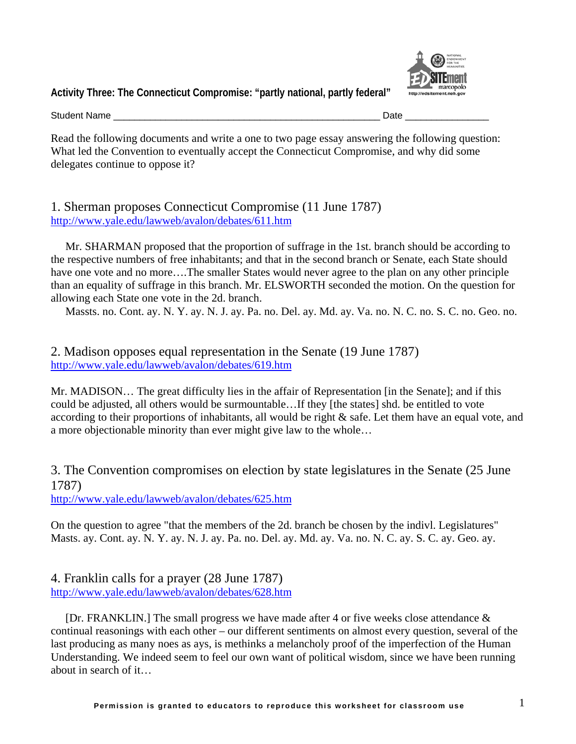

**Activity Three: The Connecticut Compromise: "partly national, partly federal"** 

Student Name \_\_\_\_\_\_\_\_\_\_\_\_\_\_\_\_\_\_\_\_\_\_\_\_\_\_\_\_\_\_\_\_\_\_\_\_\_\_\_\_\_\_\_\_\_\_\_\_\_\_\_ Date \_\_\_\_\_\_\_\_\_\_\_\_\_\_\_\_

Read the following documents and write a one to two page essay answering the following question: What led the Convention to eventually accept the Connecticut Compromise, and why did some delegates continue to oppose it?

1. Sherman proposes Connecticut Compromise (11 June 1787) <http://www.yale.edu/lawweb/avalon/debates/611.htm>

[Mr. SHARMAN](http://www.teachingamericanhistory.com/convention/debates/0611.html##) proposed that the proportion of suffrage in the 1st. branch should be according to the respective numbers of free inhabitants; and that in the second branch or Senate, each State should have one vote and no more….The smaller States would never agree to the plan on any other principle than an equality of suffrage in this branch. [Mr. ELSWORTH](http://www.teachingamericanhistory.com/convention/debates/0611.html##) seconded the motion. On the question for allowing each State one vote in the 2d. branch.

Massts. no. Cont. ay. N. Y. ay. N. J. ay. Pa. no. Del. ay. Md. ay. Va. no. N. C. no. S. C. no. Geo. no.

2. Madison opposes equal representation in the Senate (19 June 1787) <http://www.yale.edu/lawweb/avalon/debates/619.htm>

[Mr. MADISON…](http://www.teachingamericanhistory.com/convention/debates/0619.html##) The great difficulty lies in the affair of Representation [in the Senate]; and if this could be adjusted, all others would be surmountable…If they [the states] shd. be entitled to vote according to their proportions of inhabitants, all would be right & safe. Let them have an equal vote, and a more objectionable minority than ever might give law to the whole…

3. The Convention compromises on election by state legislatures in the Senate (25 June 1787)

<http://www.yale.edu/lawweb/avalon/debates/625.htm>

On the question to agree "that the members of the 2d. branch be chosen by the indivl. Legislatures" Masts. ay. Cont. ay. N. Y. ay. N. J. ay. Pa. no. Del. ay. Md. ay. Va. no. N. C. ay. S. C. ay. Geo. ay.

4. Franklin calls for a prayer (28 June 1787) <http://www.yale.edu/lawweb/avalon/debates/628.htm>

[Dr. FRANKLIN.] The small progress we have made after 4 or five weeks close attendance & continual reasonings with each other – our different sentiments on almost every question, several of the last producing as many noes as ays, is methinks a melancholy proof of the imperfection of the Human Understanding. We indeed seem to feel our own want of political wisdom, since we have been running about in search of it…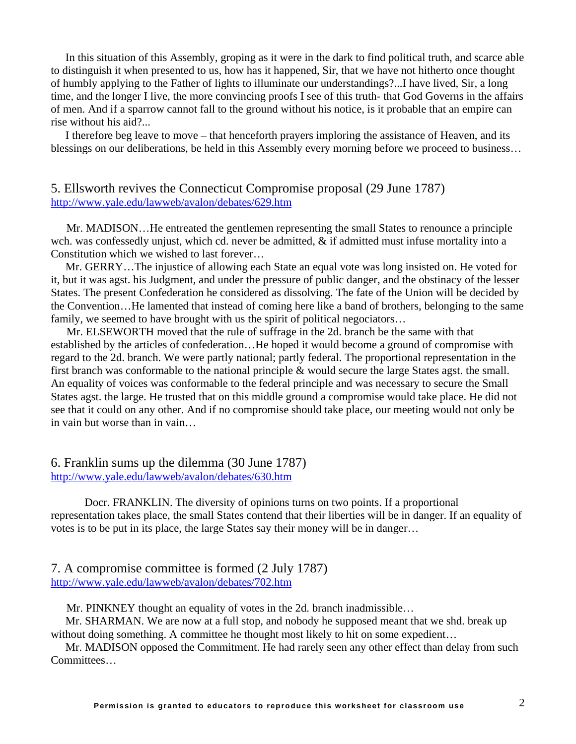In this situation of this Assembly, groping as it were in the dark to find political truth, and scarce able to distinguish it when presented to us, how has it happened, Sir, that we have not hitherto once thought of humbly applying to the Father of lights to illuminate our understandings?...I have lived, Sir, a long time, and the longer I live, the more convincing proofs I see of this truth- that God Governs in the affairs of men. And if a sparrow cannot fall to the ground without his notice, is it probable that an empire can rise without his aid?...

I therefore beg leave to move – that henceforth prayers imploring the assistance of Heaven, and its blessings on our deliberations, be held in this Assembly every morning before we proceed to business…

# 5. Ellsworth revives the Connecticut Compromise proposal (29 June 1787) <http://www.yale.edu/lawweb/avalon/debates/629.htm>

[Mr. MADISON](http://www.teachingamericanhistory.com/convention/debates/0629.html##)…He entreated the gentlemen representing the small States to renounce a principle wch. was confessedly unjust, which cd. never be admitted, & if admitted must infuse mortality into a Constitution which we wished to last forever…

[Mr. GERRY…](http://www.teachingamericanhistory.com/convention/debates/0629.html##)The injustice of allowing each State an equal vote was long insisted on. He voted for it, but it was agst. his Judgment, and under the pressure of public danger, and the obstinacy of the lesser States. The present Confederation he considered as dissolving. The fate of the Union will be decided by the Convention…He lamented that instead of coming here like a band of brothers, belonging to the same family, we seemed to have brought with us the spirit of political negociators…

[Mr. ELSEWORTH](http://www.teachingamericanhistory.com/convention/debates/0629.html##) moved that the rule of suffrage in the 2d. branch be the same with that established by the articles of confederation…He hoped it would become a ground of compromise with regard to the 2d. branch. We were partly national; partly federal. The proportional representation in the first branch was conformable to the national principle & would secure the large States agst. the small. An equality of voices was conformable to the federal principle and was necessary to secure the Small States agst. the large. He trusted that on this middle ground a compromise would take place. He did not see that it could on any other. And if no compromise should take place, our meeting would not only be in vain but worse than in vain…

## 6. Franklin sums up the dilemma (30 June 1787) <http://www.yale.edu/lawweb/avalon/debates/630.htm>

[Docr. FRANKLIN.](http://www.teachingamericanhistory.com/convention/debates/0630.html##) The diversity of opinions turns on two points. If a proportional representation takes place, the small States contend that their liberties will be in danger. If an equality of votes is to be put in its place, the large States say their money will be in danger…

### 7. A compromise committee is formed (2 July 1787) <http://www.yale.edu/lawweb/avalon/debates/702.htm>

[Mr. PINKNEY](http://www.teachingamericanhistory.com/convention/debates/0702.html##) thought an equality of votes in the 2d. branch inadmissible…

[Mr. SHARMAN](http://www.teachingamericanhistory.com/convention/debates/0702.html##). We are now at a full stop, and nobody he supposed meant that we shd. break up without doing something. A committee he thought most likely to hit on some expedient...

[Mr. MADISON](http://www.teachingamericanhistory.com/convention/debates/0702.html##) opposed the Commitment. He had rarely seen any other effect than delay from such Committees…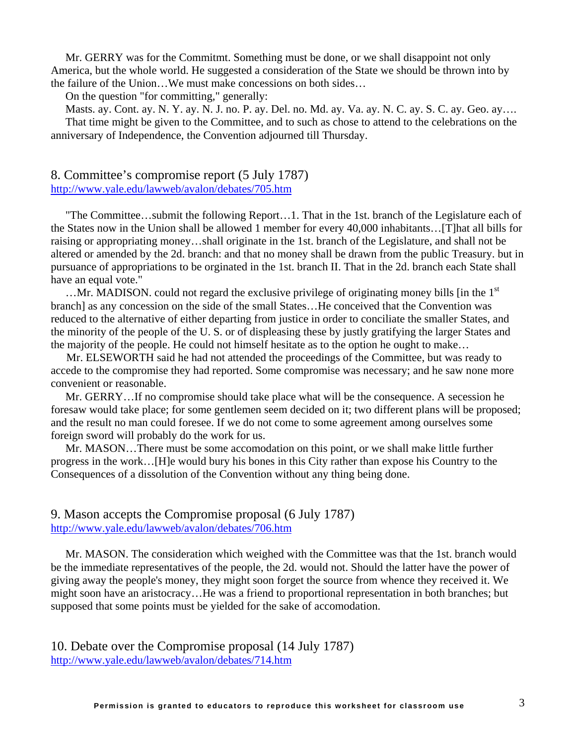[Mr. GERRY](http://www.teachingamericanhistory.com/convention/debates/0702.html##) was for the Commitmt. Something must be done, or we shall disappoint not only America, but the whole world. He suggested a consideration of the State we should be thrown into by the failure of the Union…We must make concessions on both sides…

On the question "for committing," generally:

Masts. ay. Cont. ay. N. Y. ay. N. J. no. P. ay. Del. no. Md. ay. Va. ay. N. C. ay. S. C. ay. Geo. ay…. That time might be given to the Committee, and to such as chose to attend to the celebrations on the anniversary of Independence, the Convention adjourned till Thursday.

#### 8. Committee's compromise report (5 July 1787) <http://www.yale.edu/lawweb/avalon/debates/705.htm>

"The Committee…submit the following Report…1. That in the 1st. branch of the Legislature each of the States now in the Union shall be allowed 1 member for every 40,000 inhabitants…[T]hat all bills for raising or appropriating money…shall originate in the 1st. branch of the Legislature, and shall not be altered or amended by the 2d. branch: and that no money shall be drawn from the public Treasury. but in pursuance of appropriations to be orginated in the 1st. branch II. That in the 2d. branch each State shall have an equal vote."

 $\dots$ [Mr. MADISON](http://www.teachingamericanhistory.com/convention/debates/0705.html##). could not regard the exclusive privilege of originating money bills [in the  $1<sup>st</sup>$ branch] as any concession on the side of the small States…He conceived that the Convention was reduced to the alternative of either departing from justice in order to conciliate the smaller States, and the minority of the people of the U. S. or of displeasing these by justly gratifying the larger States and the majority of the people. He could not himself hesitate as to the option he ought to make…

[Mr. ELSEWORTH](http://www.teachingamericanhistory.com/convention/debates/0705.html##) said he had not attended the proceedings of the Committee, but was ready to accede to the compromise they had reported. Some compromise was necessary; and he saw none more convenient or reasonable.

[Mr. GERRY…](http://www.teachingamericanhistory.com/convention/debates/0705.html##)If no compromise should take place what will be the consequence. A secession he foresaw would take place; for some gentlemen seem decided on it; two different plans will be proposed; and the result no man could foresee. If we do not come to some agreement among ourselves some foreign sword will probably do the work for us.

[Mr. MASON…](http://www.teachingamericanhistory.com/convention/debates/0705.html##)There must be some accomodation on this point, or we shall make little further progress in the work…[H]e would bury his bones in this City rather than expose his Country to the Consequences of a dissolution of the Convention without any thing being done.

### 9. Mason accepts the Compromise proposal (6 July 1787) <http://www.yale.edu/lawweb/avalon/debates/706.htm>

[Mr. MASON.](http://www.teachingamericanhistory.com/convention/debates/0706.html##) The consideration which weighed with the Committee was that the 1st. branch would be the immediate representatives of the people, the 2d. would not. Should the latter have the power of giving away the people's money, they might soon forget the source from whence they received it. We might soon have an aristocracy…He was a friend to proportional representation in both branches; but supposed that some points must be yielded for the sake of accomodation.

10. Debate over the Compromise proposal (14 July 1787) <http://www.yale.edu/lawweb/avalon/debates/714.htm>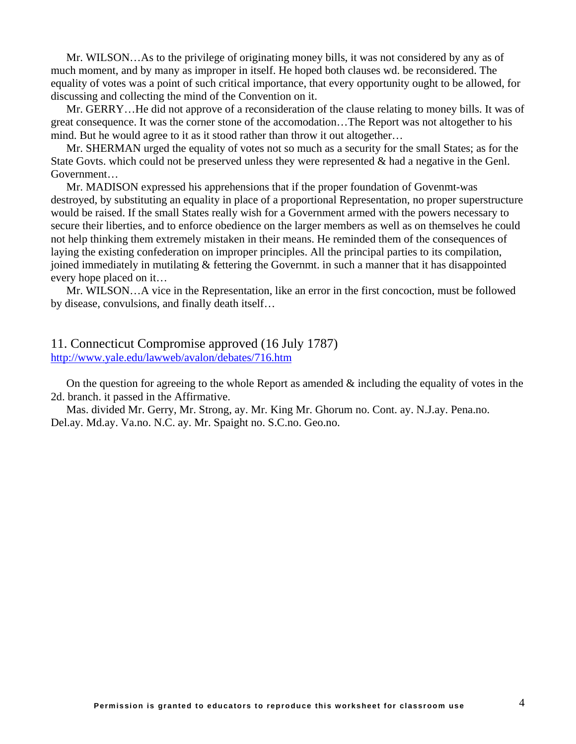[Mr. WILSON…](http://www.teachingamericanhistory.com/convention/debates/0714.html##)As to the privilege of originating money bills, it was not considered by any as of much moment, and by many as improper in itself. He hoped both clauses wd. be reconsidered. The equality of votes was a point of such critical importance, that every opportunity ought to be allowed, for discussing and collecting the mind of the Convention on it.

[Mr. GERRY…](http://www.teachingamericanhistory.com/convention/debates/0714.html##)He did not approve of a reconsideration of the clause relating to money bills. It was of great consequence. It was the corner stone of the accomodation…The Report was not altogether to his mind. But he would agree to it as it stood rather than throw it out altogether…

[Mr. SHERMAN](http://www.teachingamericanhistory.com/convention/debates/0714.html##) urged the equality of votes not so much as a security for the small States; as for the State Govts. which could not be preserved unless they were represented  $\&$  had a negative in the Genl. Government…

[Mr. MADISON](http://www.teachingamericanhistory.com/convention/debates/0714.html##) expressed his apprehensions that if the proper foundation of Govenmt-was destroyed, by substituting an equality in place of a proportional Representation, no proper superstructure would be raised. If the small States really wish for a Government armed with the powers necessary to secure their liberties, and to enforce obedience on the larger members as well as on themselves he could not help thinking them extremely mistaken in their means. He reminded them of the consequences of laying the existing confederation on improper principles. All the principal parties to its compilation, joined immediately in mutilating & fettering the Governmt. in such a manner that it has disappointed every hope placed on it…

[Mr. WILSON…](http://www.teachingamericanhistory.com/convention/debates/0714.html##)A vice in the Representation, like an error in the first concoction, must be followed by disease, convulsions, and finally death itself…

### 11. Connecticut Compromise approved (16 July 1787) <http://www.yale.edu/lawweb/avalon/debates/716.htm>

On the question for agreeing to the whole Report as amended  $\&$  including the equality of votes in the 2d. branch. it passed in the Affirmative.

Mas. divided [Mr. Gerry,](http://www.teachingamericanhistory.com/convention/debates/0716.html##) [Mr. Strong,](http://www.teachingamericanhistory.com/convention/debates/0716.html##) ay. [Mr. King](http://www.teachingamericanhistory.com/convention/debates/0716.html##) [Mr. Ghorum](http://www.teachingamericanhistory.com/convention/debates/0716.html##) no. Cont. ay. N.J.ay. Pena.no. Del.ay. Md.ay. Va.no. N.C. ay. [Mr. Spaight](http://www.teachingamericanhistory.com/convention/debates/0716.html##) no. S.C.no. Geo.no.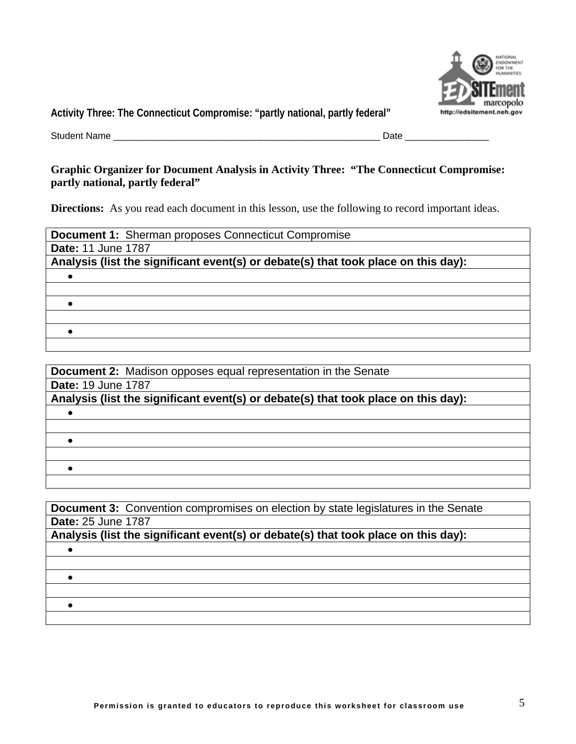

**Activity Three: The Connecticut Compromise: "partly national, partly federal"**

Student Name \_\_\_\_\_\_\_\_\_\_\_\_\_\_\_\_\_\_\_\_\_\_\_\_\_\_\_\_\_\_\_\_\_\_\_\_\_\_\_\_\_\_\_\_\_\_\_\_\_\_\_ Date \_\_\_\_\_\_\_\_\_\_\_\_\_\_\_\_

## **Graphic Organizer for Document Analysis in Activity Three: "The Connecticut Compromise: partly national, partly federal"**

**Directions:** As you read each document in this lesson, use the following to record important ideas.

| <b>Document 1: Sherman proposes Connecticut Compromise</b>                         |
|------------------------------------------------------------------------------------|
| <b>Date: 11 June 1787</b>                                                          |
| Analysis (list the significant event(s) or debate(s) that took place on this day): |
|                                                                                    |
|                                                                                    |
|                                                                                    |
|                                                                                    |
|                                                                                    |
|                                                                                    |

| <b>Document 2:</b> Madison opposes equal representation in the Senate              |
|------------------------------------------------------------------------------------|
| <b>Date: 19 June 1787</b>                                                          |
| Analysis (list the significant event(s) or debate(s) that took place on this day): |
|                                                                                    |
|                                                                                    |
|                                                                                    |
|                                                                                    |
|                                                                                    |
|                                                                                    |

| <b>Document 3:</b> Convention compromises on election by state legislatures in the Senate |
|-------------------------------------------------------------------------------------------|
| <b>Date: 25 June 1787</b>                                                                 |
| Analysis (list the significant event(s) or debate(s) that took place on this day):        |
|                                                                                           |
|                                                                                           |
|                                                                                           |
|                                                                                           |
|                                                                                           |
|                                                                                           |
|                                                                                           |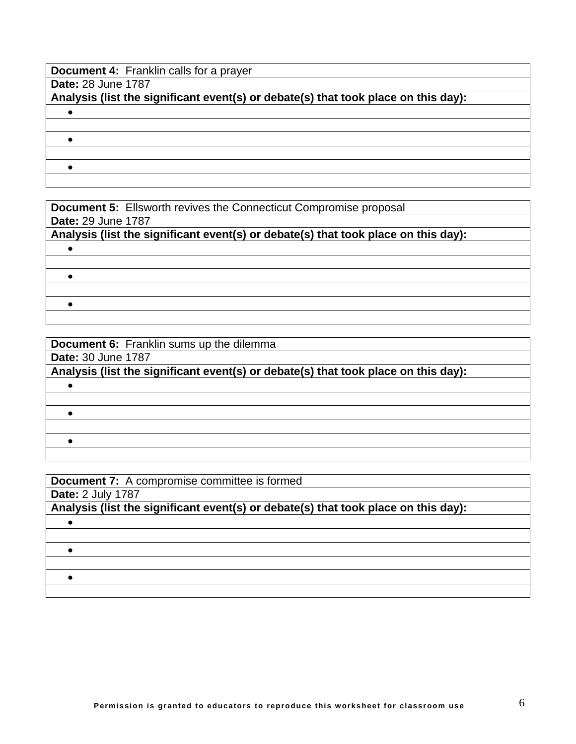**Document 4: Franklin calls for a prayer** 

**Date:** 28 June 1787

**Analysis (list the significant event(s) or debate(s) that took place on this day):** 

 $\bullet$ 

•

 $\bullet$ 

**Document 5:** Ellsworth revives the Connecticut Compromise proposal **Date:** 29 June 1787 **Analysis (list the significant event(s) or debate(s) that took place on this day):**   $\bullet$  $\bullet$  $\bullet$ 

| <b>Document 6:</b> Franklin sums up the dilemma                                    |
|------------------------------------------------------------------------------------|
| <b>Date: 30 June 1787</b>                                                          |
| Analysis (list the significant event(s) or debate(s) that took place on this day): |
|                                                                                    |
|                                                                                    |
|                                                                                    |
|                                                                                    |
|                                                                                    |
|                                                                                    |

| <b>Document 7:</b> A compromise committee is formed                                |
|------------------------------------------------------------------------------------|
| <b>Date: 2 July 1787</b>                                                           |
| Analysis (list the significant event(s) or debate(s) that took place on this day): |
|                                                                                    |
|                                                                                    |
|                                                                                    |
|                                                                                    |
|                                                                                    |
|                                                                                    |